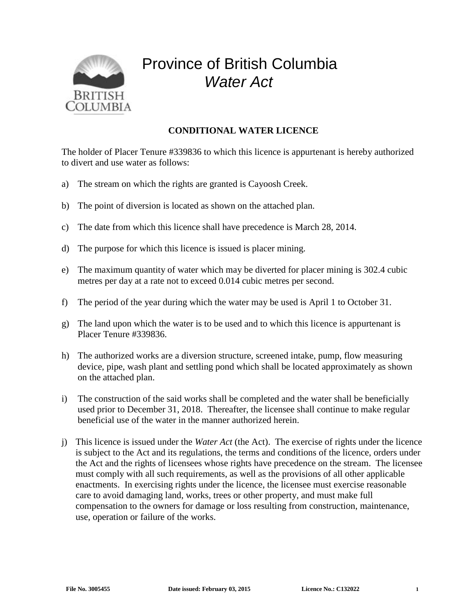

## Province of British Columbia *Water Act*

## **CONDITIONAL WATER LICENCE**

The holder of Placer Tenure #339836 to which this licence is appurtenant is hereby authorized to divert and use water as follows:

- a) The stream on which the rights are granted is Cayoosh Creek.
- b) The point of diversion is located as shown on the attached plan.
- c) The date from which this licence shall have precedence is March 28, 2014.
- d) The purpose for which this licence is issued is placer mining.
- e) The maximum quantity of water which may be diverted for placer mining is 302.4 cubic metres per day at a rate not to exceed 0.014 cubic metres per second.
- f) The period of the year during which the water may be used is April 1 to October 31.
- g) The land upon which the water is to be used and to which this licence is appurtenant is Placer Tenure #339836.
- h) The authorized works are a diversion structure, screened intake, pump, flow measuring device, pipe, wash plant and settling pond which shall be located approximately as shown on the attached plan.
- i) The construction of the said works shall be completed and the water shall be beneficially used prior to December 31, 2018. Thereafter, the licensee shall continue to make regular beneficial use of the water in the manner authorized herein.
- j) This licence is issued under the *Water Act* (the Act). The exercise of rights under the licence is subject to the Act and its regulations, the terms and conditions of the licence, orders under the Act and the rights of licensees whose rights have precedence on the stream. The licensee must comply with all such requirements, as well as the provisions of all other applicable enactments. In exercising rights under the licence, the licensee must exercise reasonable care to avoid damaging land, works, trees or other property, and must make full compensation to the owners for damage or loss resulting from construction, maintenance, use, operation or failure of the works.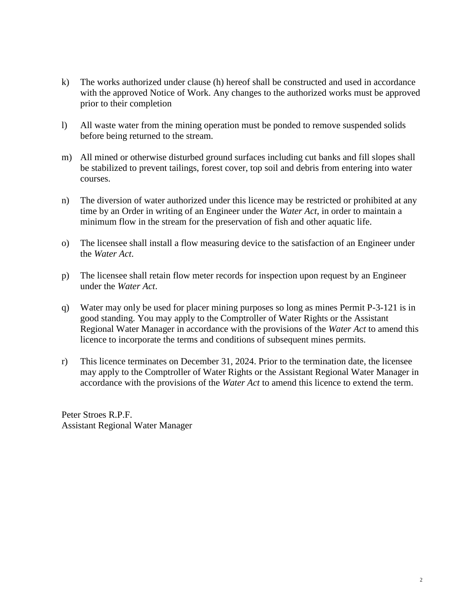- k) The works authorized under clause (h) hereof shall be constructed and used in accordance with the approved Notice of Work. Any changes to the authorized works must be approved prior to their completion
- l) All waste water from the mining operation must be ponded to remove suspended solids before being returned to the stream.
- m) All mined or otherwise disturbed ground surfaces including cut banks and fill slopes shall be stabilized to prevent tailings, forest cover, top soil and debris from entering into water courses.
- n) The diversion of water authorized under this licence may be restricted or prohibited at any time by an Order in writing of an Engineer under the *Water Act*, in order to maintain a minimum flow in the stream for the preservation of fish and other aquatic life.
- o) The licensee shall install a flow measuring device to the satisfaction of an Engineer under the *Water Act*.
- p) The licensee shall retain flow meter records for inspection upon request by an Engineer under the *Water Act*.
- q) Water may only be used for placer mining purposes so long as mines Permit P-3-121 is in good standing. You may apply to the Comptroller of Water Rights or the Assistant Regional Water Manager in accordance with the provisions of the *Water Act* to amend this licence to incorporate the terms and conditions of subsequent mines permits.
- r) This licence terminates on December 31, 2024. Prior to the termination date, the licensee may apply to the Comptroller of Water Rights or the Assistant Regional Water Manager in accordance with the provisions of the *Water Act* to amend this licence to extend the term.

Peter Stroes R.P.F. Assistant Regional Water Manager